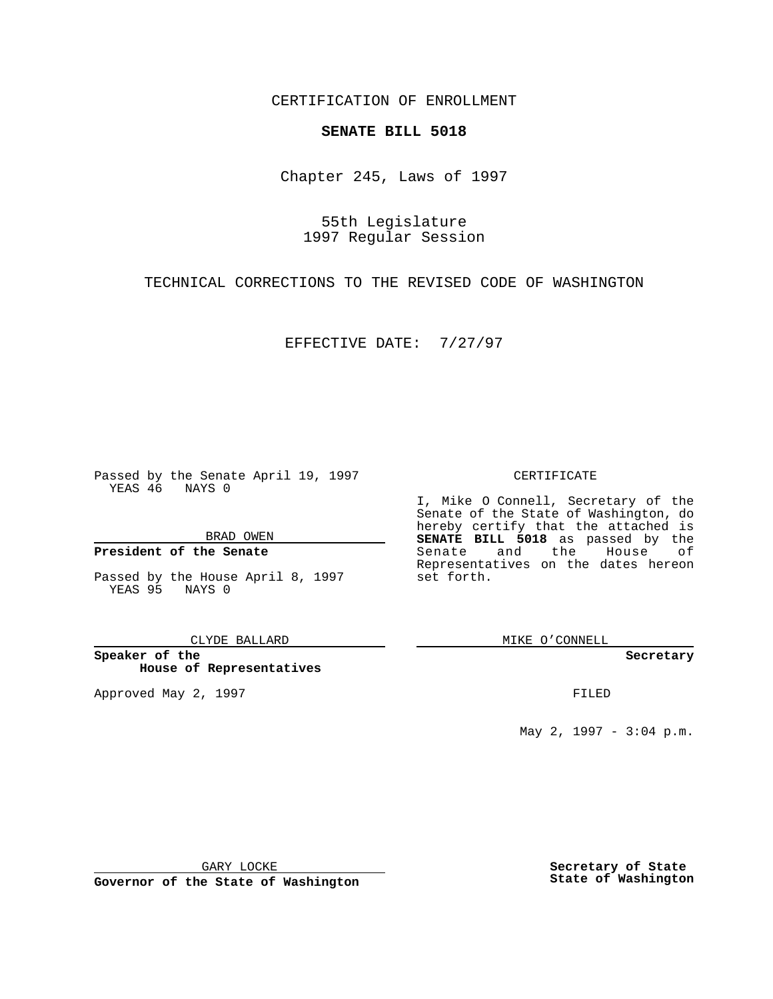CERTIFICATION OF ENROLLMENT

# **SENATE BILL 5018**

Chapter 245, Laws of 1997

55th Legislature 1997 Regular Session

TECHNICAL CORRECTIONS TO THE REVISED CODE OF WASHINGTON

EFFECTIVE DATE: 7/27/97

Passed by the Senate April 19, 1997 YEAS 46 NAYS 0

BRAD OWEN

#### **President of the Senate**

Passed by the House April 8, 1997 YEAS 95 NAYS 0

CLYDE BALLARD

**Speaker of the House of Representatives**

Approved May 2, 1997 **FILED** 

#### CERTIFICATE

I, Mike O Connell, Secretary of the Senate of the State of Washington, do hereby certify that the attached is **SENATE BILL 5018** as passed by the Senate and the House of Representatives on the dates hereon set forth.

MIKE O'CONNELL

#### **Secretary**

May 2, 1997 - 3:04 p.m.

GARY LOCKE

**Governor of the State of Washington**

**Secretary of State State of Washington**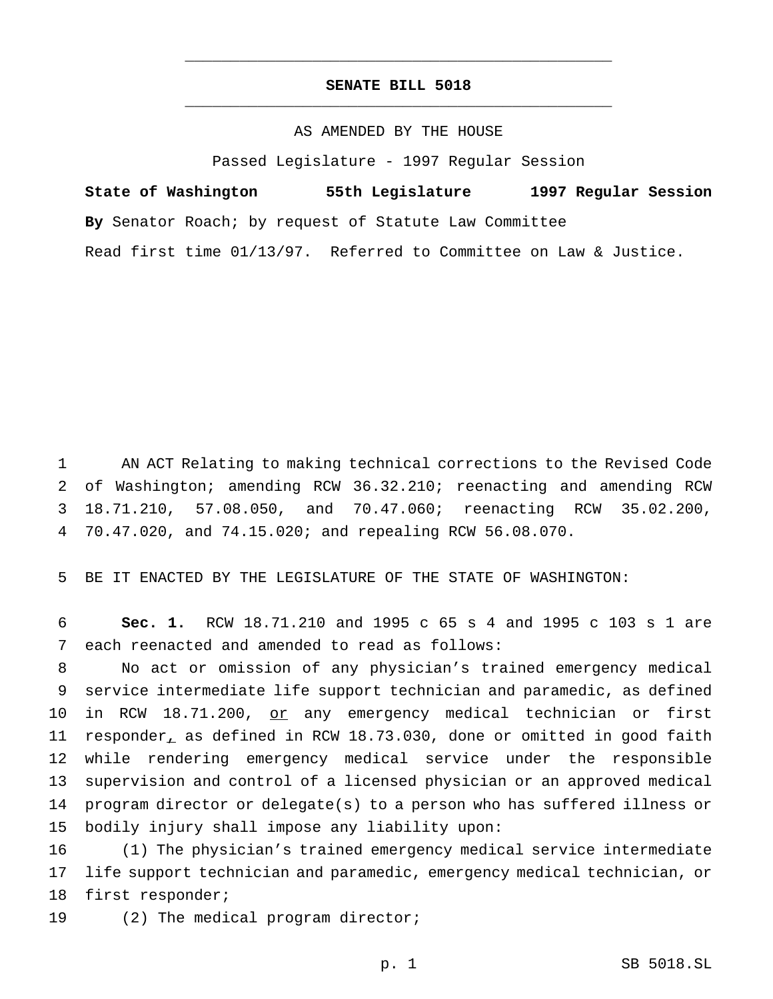## **SENATE BILL 5018** \_\_\_\_\_\_\_\_\_\_\_\_\_\_\_\_\_\_\_\_\_\_\_\_\_\_\_\_\_\_\_\_\_\_\_\_\_\_\_\_\_\_\_\_\_\_\_

\_\_\_\_\_\_\_\_\_\_\_\_\_\_\_\_\_\_\_\_\_\_\_\_\_\_\_\_\_\_\_\_\_\_\_\_\_\_\_\_\_\_\_\_\_\_\_

## AS AMENDED BY THE HOUSE

Passed Legislature - 1997 Regular Session

**State of Washington 55th Legislature 1997 Regular Session By** Senator Roach; by request of Statute Law Committee Read first time 01/13/97. Referred to Committee on Law & Justice.

 AN ACT Relating to making technical corrections to the Revised Code of Washington; amending RCW 36.32.210; reenacting and amending RCW 18.71.210, 57.08.050, and 70.47.060; reenacting RCW 35.02.200, 70.47.020, and 74.15.020; and repealing RCW 56.08.070.

BE IT ENACTED BY THE LEGISLATURE OF THE STATE OF WASHINGTON:

 **Sec. 1.** RCW 18.71.210 and 1995 c 65 s 4 and 1995 c 103 s 1 are each reenacted and amended to read as follows:

 No act or omission of any physician's trained emergency medical service intermediate life support technician and paramedic, as defined 10 in RCW 18.71.200, or any emergency medical technician or first responder, as defined in RCW 18.73.030, done or omitted in good faith while rendering emergency medical service under the responsible supervision and control of a licensed physician or an approved medical program director or delegate(s) to a person who has suffered illness or bodily injury shall impose any liability upon:

 (1) The physician's trained emergency medical service intermediate life support technician and paramedic, emergency medical technician, or first responder;

19 (2) The medical program director;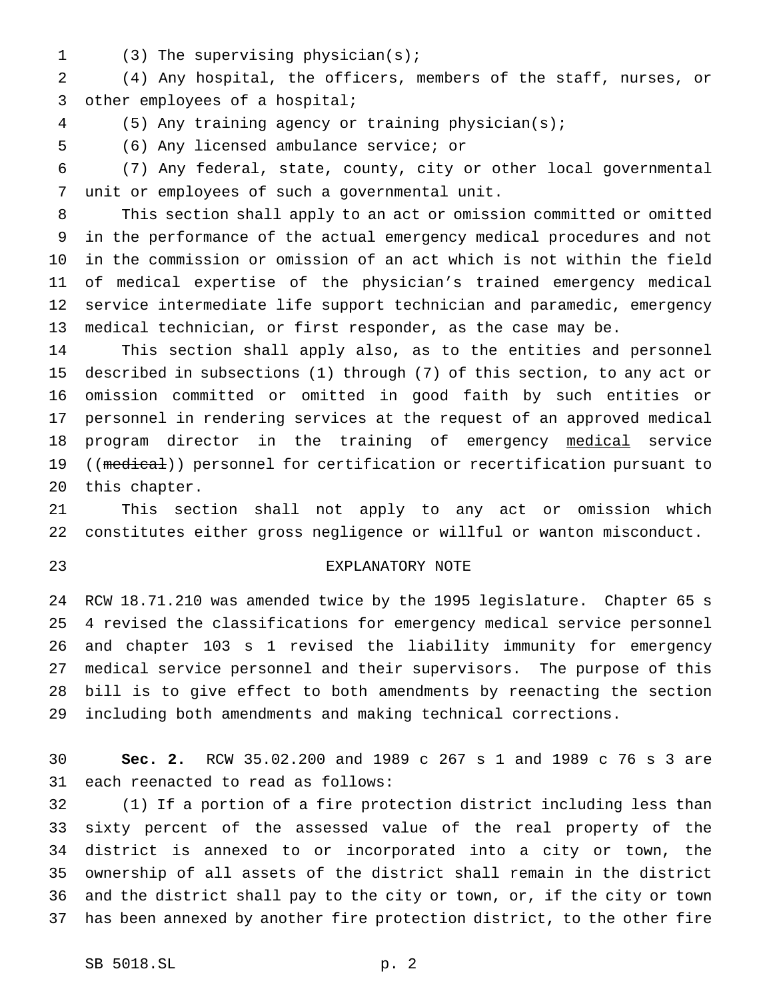(3) The supervising physician(s);

 (4) Any hospital, the officers, members of the staff, nurses, or other employees of a hospital;

(5) Any training agency or training physician(s);

(6) Any licensed ambulance service; or

 (7) Any federal, state, county, city or other local governmental unit or employees of such a governmental unit.

 This section shall apply to an act or omission committed or omitted in the performance of the actual emergency medical procedures and not in the commission or omission of an act which is not within the field of medical expertise of the physician's trained emergency medical service intermediate life support technician and paramedic, emergency medical technician, or first responder, as the case may be.

 This section shall apply also, as to the entities and personnel described in subsections (1) through (7) of this section, to any act or omission committed or omitted in good faith by such entities or personnel in rendering services at the request of an approved medical 18 program director in the training of emergency medical service 19 ((medical)) personnel for certification or recertification pursuant to this chapter.

 This section shall not apply to any act or omission which constitutes either gross negligence or willful or wanton misconduct.

## EXPLANATORY NOTE

 RCW 18.71.210 was amended twice by the 1995 legislature. Chapter 65 s 4 revised the classifications for emergency medical service personnel and chapter 103 s 1 revised the liability immunity for emergency medical service personnel and their supervisors. The purpose of this bill is to give effect to both amendments by reenacting the section including both amendments and making technical corrections.

 **Sec. 2.** RCW 35.02.200 and 1989 c 267 s 1 and 1989 c 76 s 3 are each reenacted to read as follows:

 (1) If a portion of a fire protection district including less than sixty percent of the assessed value of the real property of the district is annexed to or incorporated into a city or town, the ownership of all assets of the district shall remain in the district and the district shall pay to the city or town, or, if the city or town has been annexed by another fire protection district, to the other fire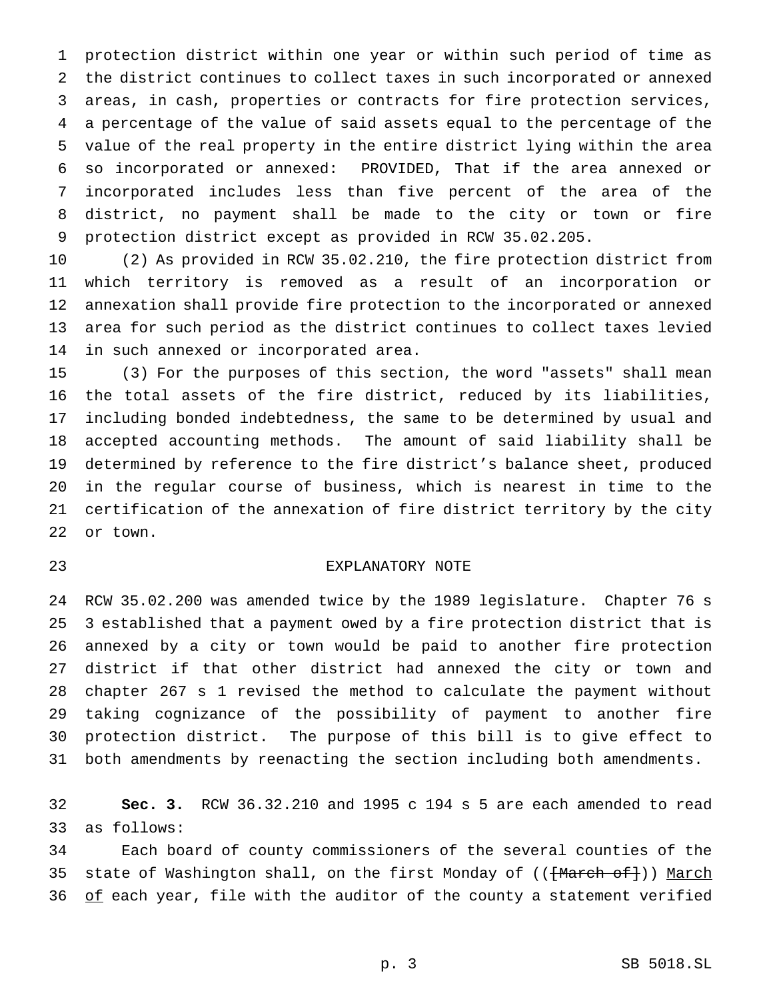protection district within one year or within such period of time as the district continues to collect taxes in such incorporated or annexed areas, in cash, properties or contracts for fire protection services, a percentage of the value of said assets equal to the percentage of the value of the real property in the entire district lying within the area so incorporated or annexed: PROVIDED, That if the area annexed or incorporated includes less than five percent of the area of the district, no payment shall be made to the city or town or fire protection district except as provided in RCW 35.02.205.

 (2) As provided in RCW 35.02.210, the fire protection district from which territory is removed as a result of an incorporation or annexation shall provide fire protection to the incorporated or annexed area for such period as the district continues to collect taxes levied in such annexed or incorporated area.

 (3) For the purposes of this section, the word "assets" shall mean the total assets of the fire district, reduced by its liabilities, including bonded indebtedness, the same to be determined by usual and accepted accounting methods. The amount of said liability shall be determined by reference to the fire district's balance sheet, produced in the regular course of business, which is nearest in time to the certification of the annexation of fire district territory by the city or town.

## EXPLANATORY NOTE

 RCW 35.02.200 was amended twice by the 1989 legislature. Chapter 76 s 3 established that a payment owed by a fire protection district that is annexed by a city or town would be paid to another fire protection district if that other district had annexed the city or town and chapter 267 s 1 revised the method to calculate the payment without taking cognizance of the possibility of payment to another fire protection district. The purpose of this bill is to give effect to both amendments by reenacting the section including both amendments.

 **Sec. 3.** RCW 36.32.210 and 1995 c 194 s 5 are each amended to read as follows:

 Each board of county commissioners of the several counties of the 35 state of Washington shall, on the first Monday of (({March of})) March 36 of each year, file with the auditor of the county a statement verified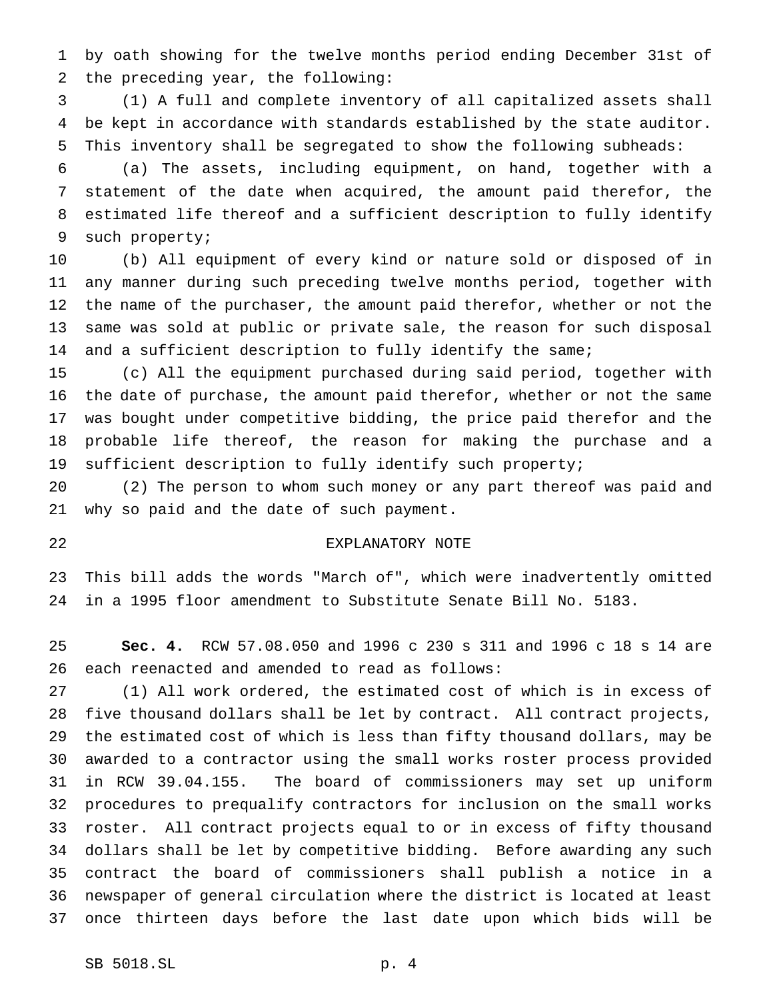by oath showing for the twelve months period ending December 31st of the preceding year, the following:

 (1) A full and complete inventory of all capitalized assets shall be kept in accordance with standards established by the state auditor. This inventory shall be segregated to show the following subheads:

 (a) The assets, including equipment, on hand, together with a statement of the date when acquired, the amount paid therefor, the estimated life thereof and a sufficient description to fully identify such property;

 (b) All equipment of every kind or nature sold or disposed of in any manner during such preceding twelve months period, together with the name of the purchaser, the amount paid therefor, whether or not the same was sold at public or private sale, the reason for such disposal 14 and a sufficient description to fully identify the same;

 (c) All the equipment purchased during said period, together with the date of purchase, the amount paid therefor, whether or not the same was bought under competitive bidding, the price paid therefor and the probable life thereof, the reason for making the purchase and a sufficient description to fully identify such property;

 (2) The person to whom such money or any part thereof was paid and why so paid and the date of such payment.

#### EXPLANATORY NOTE

 This bill adds the words "March of", which were inadvertently omitted in a 1995 floor amendment to Substitute Senate Bill No. 5183.

 **Sec. 4.** RCW 57.08.050 and 1996 c 230 s 311 and 1996 c 18 s 14 are each reenacted and amended to read as follows:

 (1) All work ordered, the estimated cost of which is in excess of five thousand dollars shall be let by contract. All contract projects, the estimated cost of which is less than fifty thousand dollars, may be awarded to a contractor using the small works roster process provided in RCW 39.04.155. The board of commissioners may set up uniform procedures to prequalify contractors for inclusion on the small works roster. All contract projects equal to or in excess of fifty thousand dollars shall be let by competitive bidding. Before awarding any such contract the board of commissioners shall publish a notice in a newspaper of general circulation where the district is located at least once thirteen days before the last date upon which bids will be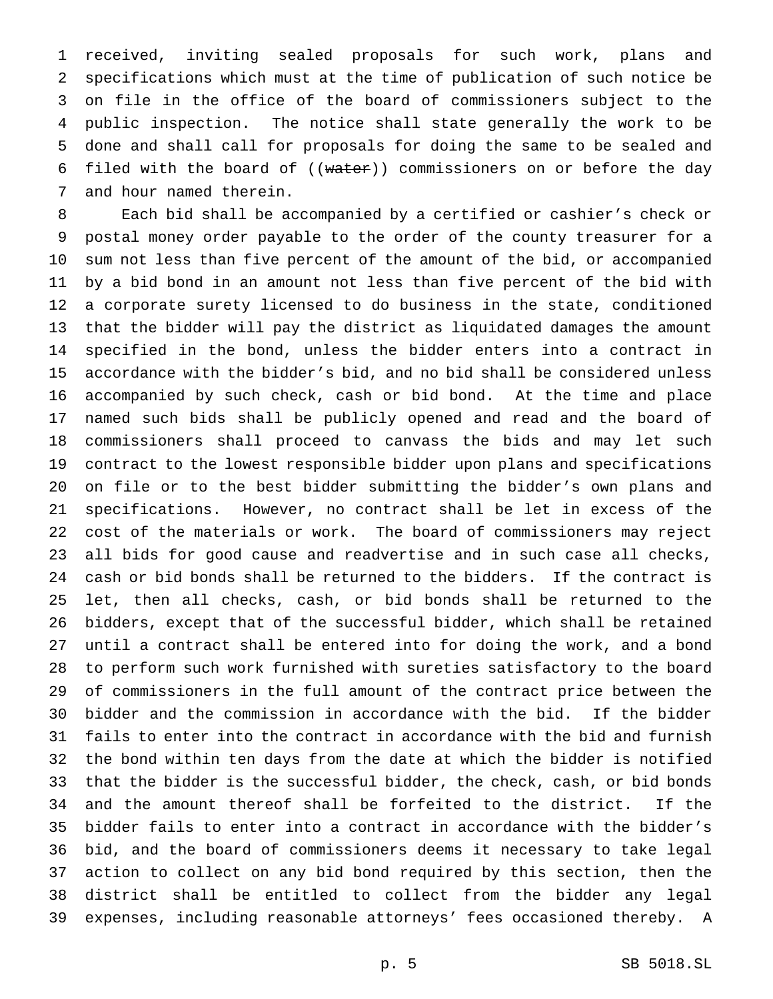received, inviting sealed proposals for such work, plans and specifications which must at the time of publication of such notice be on file in the office of the board of commissioners subject to the public inspection. The notice shall state generally the work to be done and shall call for proposals for doing the same to be sealed and 6 filed with the board of  $((\text{water}))$  commissioners on or before the day and hour named therein.

 Each bid shall be accompanied by a certified or cashier's check or postal money order payable to the order of the county treasurer for a sum not less than five percent of the amount of the bid, or accompanied by a bid bond in an amount not less than five percent of the bid with a corporate surety licensed to do business in the state, conditioned that the bidder will pay the district as liquidated damages the amount specified in the bond, unless the bidder enters into a contract in accordance with the bidder's bid, and no bid shall be considered unless accompanied by such check, cash or bid bond. At the time and place named such bids shall be publicly opened and read and the board of commissioners shall proceed to canvass the bids and may let such contract to the lowest responsible bidder upon plans and specifications on file or to the best bidder submitting the bidder's own plans and specifications. However, no contract shall be let in excess of the cost of the materials or work. The board of commissioners may reject all bids for good cause and readvertise and in such case all checks, cash or bid bonds shall be returned to the bidders. If the contract is let, then all checks, cash, or bid bonds shall be returned to the bidders, except that of the successful bidder, which shall be retained until a contract shall be entered into for doing the work, and a bond to perform such work furnished with sureties satisfactory to the board of commissioners in the full amount of the contract price between the bidder and the commission in accordance with the bid. If the bidder fails to enter into the contract in accordance with the bid and furnish the bond within ten days from the date at which the bidder is notified that the bidder is the successful bidder, the check, cash, or bid bonds and the amount thereof shall be forfeited to the district. If the bidder fails to enter into a contract in accordance with the bidder's bid, and the board of commissioners deems it necessary to take legal action to collect on any bid bond required by this section, then the district shall be entitled to collect from the bidder any legal expenses, including reasonable attorneys' fees occasioned thereby. A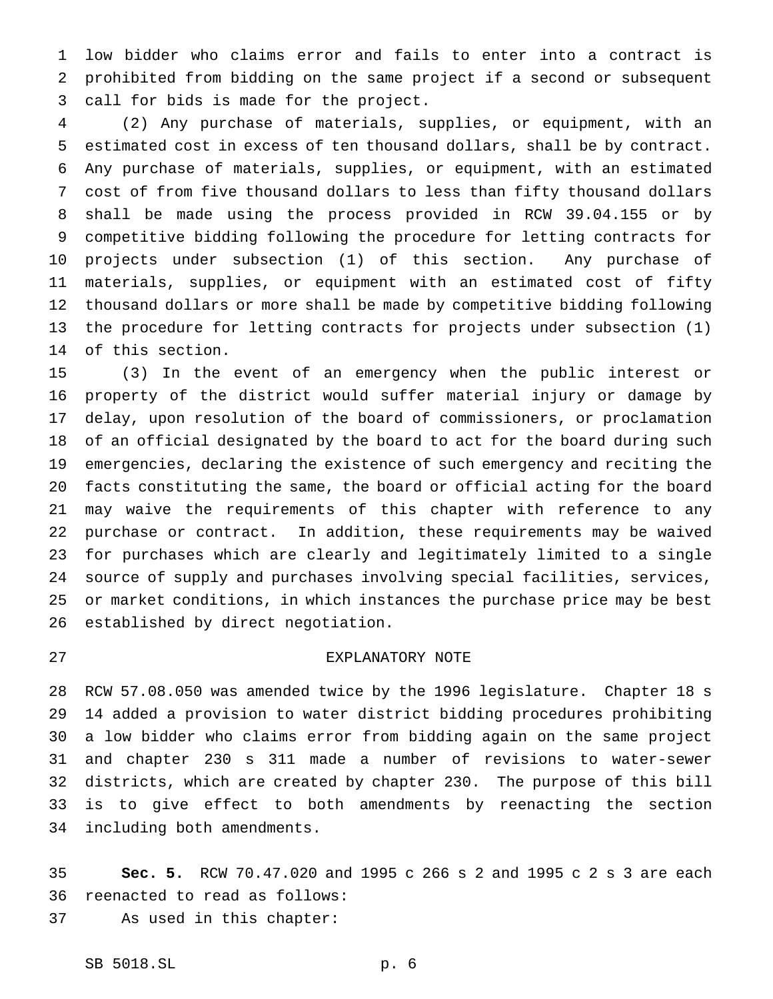low bidder who claims error and fails to enter into a contract is prohibited from bidding on the same project if a second or subsequent call for bids is made for the project.

 (2) Any purchase of materials, supplies, or equipment, with an estimated cost in excess of ten thousand dollars, shall be by contract. Any purchase of materials, supplies, or equipment, with an estimated cost of from five thousand dollars to less than fifty thousand dollars shall be made using the process provided in RCW 39.04.155 or by competitive bidding following the procedure for letting contracts for projects under subsection (1) of this section. Any purchase of materials, supplies, or equipment with an estimated cost of fifty thousand dollars or more shall be made by competitive bidding following the procedure for letting contracts for projects under subsection (1) of this section.

 (3) In the event of an emergency when the public interest or property of the district would suffer material injury or damage by delay, upon resolution of the board of commissioners, or proclamation of an official designated by the board to act for the board during such emergencies, declaring the existence of such emergency and reciting the facts constituting the same, the board or official acting for the board may waive the requirements of this chapter with reference to any purchase or contract. In addition, these requirements may be waived for purchases which are clearly and legitimately limited to a single source of supply and purchases involving special facilities, services, or market conditions, in which instances the purchase price may be best established by direct negotiation.

## EXPLANATORY NOTE

 RCW 57.08.050 was amended twice by the 1996 legislature. Chapter 18 s 14 added a provision to water district bidding procedures prohibiting a low bidder who claims error from bidding again on the same project and chapter 230 s 311 made a number of revisions to water-sewer districts, which are created by chapter 230. The purpose of this bill is to give effect to both amendments by reenacting the section including both amendments.

 **Sec. 5.** RCW 70.47.020 and 1995 c 266 s 2 and 1995 c 2 s 3 are each reenacted to read as follows:

As used in this chapter: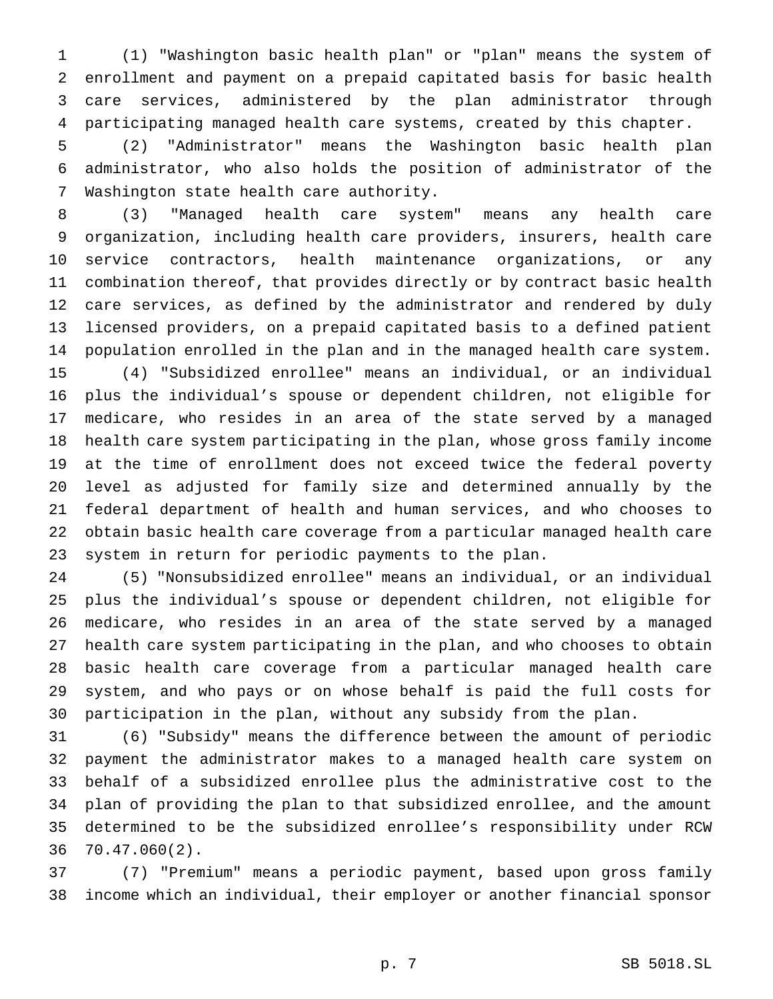(1) "Washington basic health plan" or "plan" means the system of enrollment and payment on a prepaid capitated basis for basic health care services, administered by the plan administrator through participating managed health care systems, created by this chapter.

 (2) "Administrator" means the Washington basic health plan administrator, who also holds the position of administrator of the Washington state health care authority.

 (3) "Managed health care system" means any health care organization, including health care providers, insurers, health care service contractors, health maintenance organizations, or any combination thereof, that provides directly or by contract basic health care services, as defined by the administrator and rendered by duly licensed providers, on a prepaid capitated basis to a defined patient population enrolled in the plan and in the managed health care system. (4) "Subsidized enrollee" means an individual, or an individual plus the individual's spouse or dependent children, not eligible for

 medicare, who resides in an area of the state served by a managed health care system participating in the plan, whose gross family income at the time of enrollment does not exceed twice the federal poverty level as adjusted for family size and determined annually by the federal department of health and human services, and who chooses to obtain basic health care coverage from a particular managed health care system in return for periodic payments to the plan.

 (5) "Nonsubsidized enrollee" means an individual, or an individual plus the individual's spouse or dependent children, not eligible for medicare, who resides in an area of the state served by a managed health care system participating in the plan, and who chooses to obtain basic health care coverage from a particular managed health care system, and who pays or on whose behalf is paid the full costs for participation in the plan, without any subsidy from the plan.

 (6) "Subsidy" means the difference between the amount of periodic payment the administrator makes to a managed health care system on behalf of a subsidized enrollee plus the administrative cost to the plan of providing the plan to that subsidized enrollee, and the amount determined to be the subsidized enrollee's responsibility under RCW 70.47.060(2).

 (7) "Premium" means a periodic payment, based upon gross family income which an individual, their employer or another financial sponsor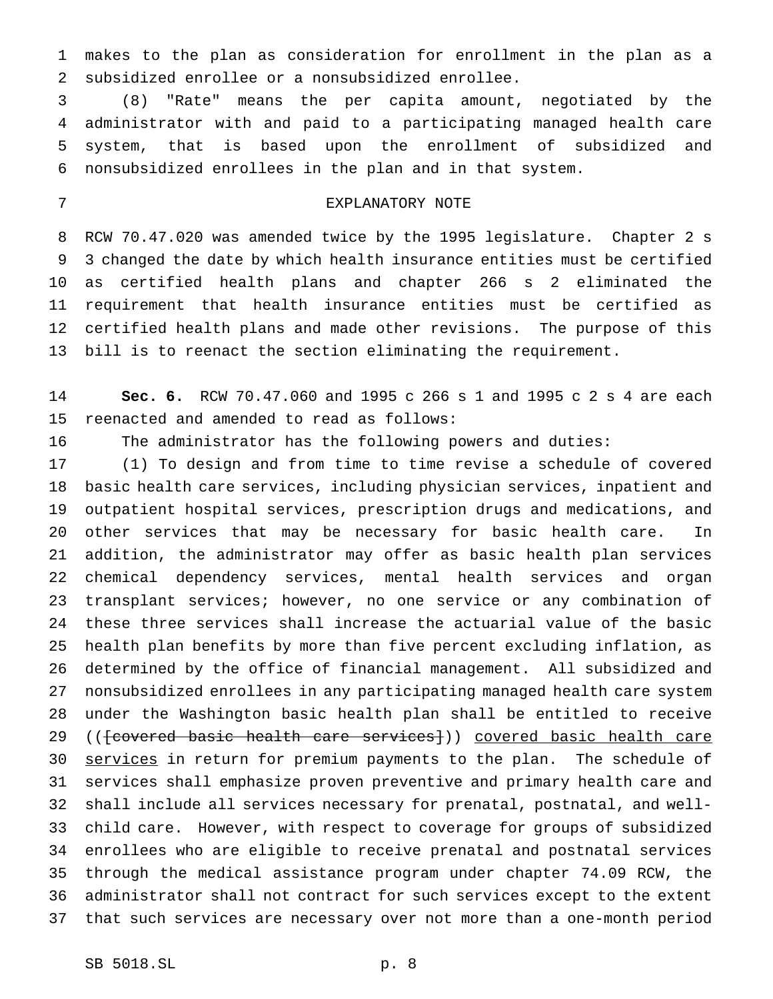makes to the plan as consideration for enrollment in the plan as a subsidized enrollee or a nonsubsidized enrollee.

 (8) "Rate" means the per capita amount, negotiated by the administrator with and paid to a participating managed health care system, that is based upon the enrollment of subsidized and nonsubsidized enrollees in the plan and in that system.

## EXPLANATORY NOTE

 RCW 70.47.020 was amended twice by the 1995 legislature. Chapter 2 s 3 changed the date by which health insurance entities must be certified as certified health plans and chapter 266 s 2 eliminated the requirement that health insurance entities must be certified as certified health plans and made other revisions. The purpose of this bill is to reenact the section eliminating the requirement.

 **Sec. 6.** RCW 70.47.060 and 1995 c 266 s 1 and 1995 c 2 s 4 are each reenacted and amended to read as follows:

The administrator has the following powers and duties:

 (1) To design and from time to time revise a schedule of covered basic health care services, including physician services, inpatient and outpatient hospital services, prescription drugs and medications, and other services that may be necessary for basic health care. In addition, the administrator may offer as basic health plan services chemical dependency services, mental health services and organ transplant services; however, no one service or any combination of these three services shall increase the actuarial value of the basic health plan benefits by more than five percent excluding inflation, as determined by the office of financial management. All subsidized and nonsubsidized enrollees in any participating managed health care system under the Washington basic health plan shall be entitled to receive 29 ((fcovered basic health care services})) covered basic health care 30 services in return for premium payments to the plan. The schedule of services shall emphasize proven preventive and primary health care and shall include all services necessary for prenatal, postnatal, and well- child care. However, with respect to coverage for groups of subsidized enrollees who are eligible to receive prenatal and postnatal services through the medical assistance program under chapter 74.09 RCW, the administrator shall not contract for such services except to the extent that such services are necessary over not more than a one-month period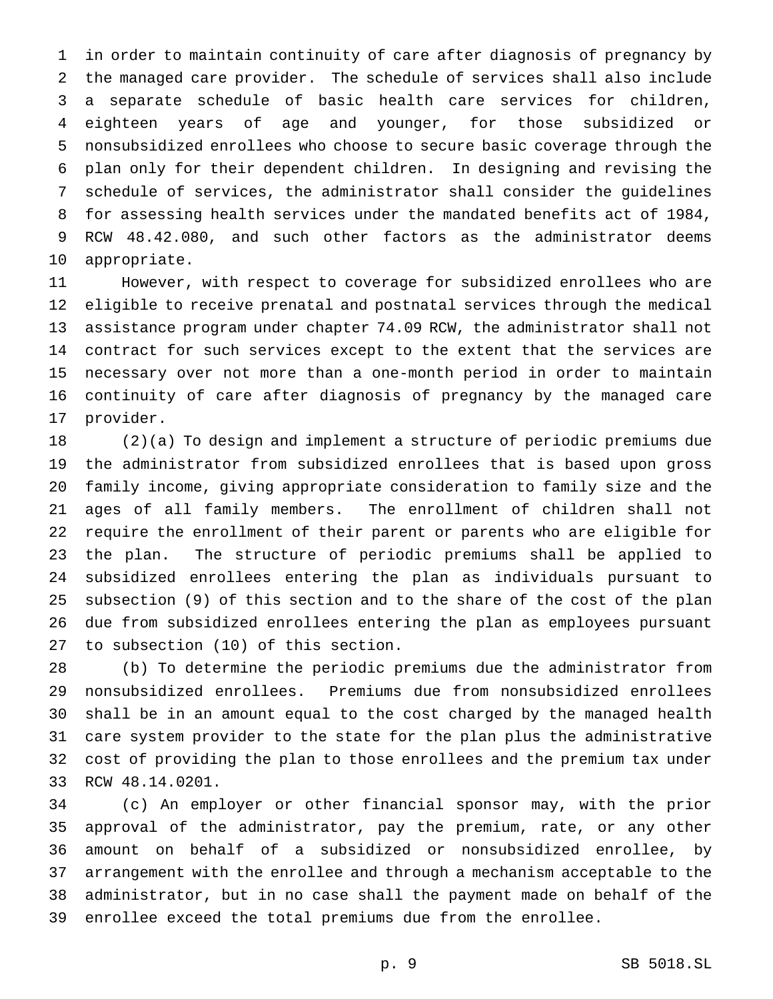in order to maintain continuity of care after diagnosis of pregnancy by the managed care provider. The schedule of services shall also include a separate schedule of basic health care services for children, eighteen years of age and younger, for those subsidized or nonsubsidized enrollees who choose to secure basic coverage through the plan only for their dependent children. In designing and revising the schedule of services, the administrator shall consider the guidelines for assessing health services under the mandated benefits act of 1984, RCW 48.42.080, and such other factors as the administrator deems appropriate.

 However, with respect to coverage for subsidized enrollees who are eligible to receive prenatal and postnatal services through the medical assistance program under chapter 74.09 RCW, the administrator shall not contract for such services except to the extent that the services are necessary over not more than a one-month period in order to maintain continuity of care after diagnosis of pregnancy by the managed care provider.

 (2)(a) To design and implement a structure of periodic premiums due the administrator from subsidized enrollees that is based upon gross family income, giving appropriate consideration to family size and the ages of all family members. The enrollment of children shall not require the enrollment of their parent or parents who are eligible for the plan. The structure of periodic premiums shall be applied to subsidized enrollees entering the plan as individuals pursuant to subsection (9) of this section and to the share of the cost of the plan due from subsidized enrollees entering the plan as employees pursuant to subsection (10) of this section.

 (b) To determine the periodic premiums due the administrator from nonsubsidized enrollees. Premiums due from nonsubsidized enrollees shall be in an amount equal to the cost charged by the managed health care system provider to the state for the plan plus the administrative cost of providing the plan to those enrollees and the premium tax under RCW 48.14.0201.

 (c) An employer or other financial sponsor may, with the prior approval of the administrator, pay the premium, rate, or any other amount on behalf of a subsidized or nonsubsidized enrollee, by arrangement with the enrollee and through a mechanism acceptable to the administrator, but in no case shall the payment made on behalf of the enrollee exceed the total premiums due from the enrollee.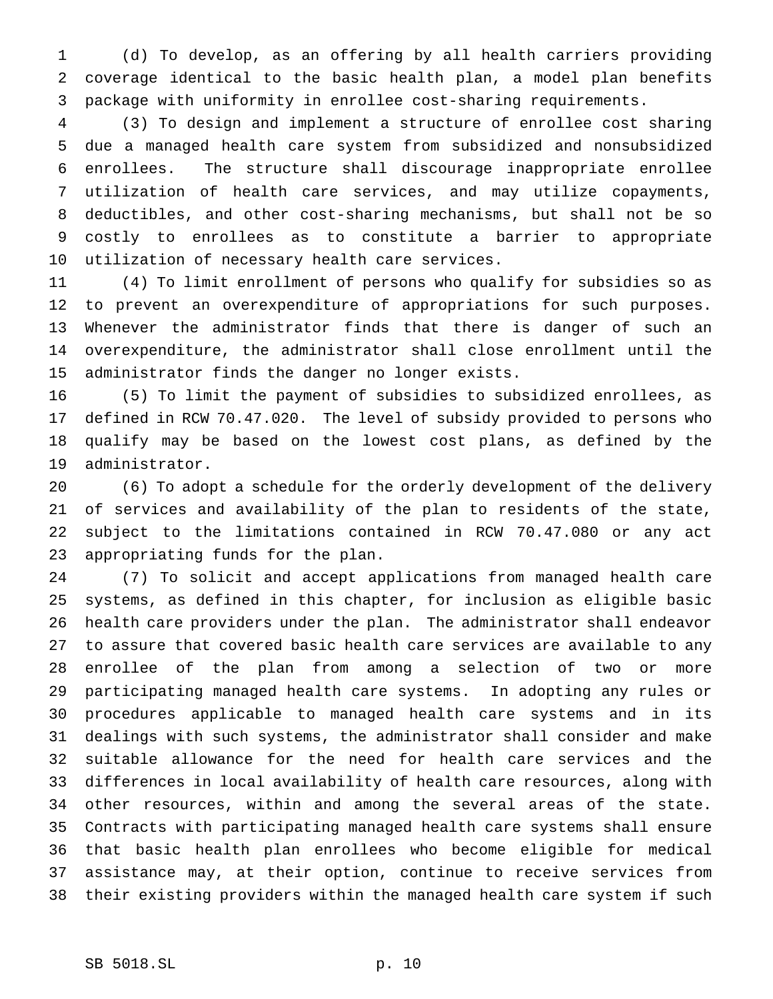(d) To develop, as an offering by all health carriers providing coverage identical to the basic health plan, a model plan benefits package with uniformity in enrollee cost-sharing requirements.

 (3) To design and implement a structure of enrollee cost sharing due a managed health care system from subsidized and nonsubsidized enrollees. The structure shall discourage inappropriate enrollee utilization of health care services, and may utilize copayments, deductibles, and other cost-sharing mechanisms, but shall not be so costly to enrollees as to constitute a barrier to appropriate utilization of necessary health care services.

 (4) To limit enrollment of persons who qualify for subsidies so as to prevent an overexpenditure of appropriations for such purposes. Whenever the administrator finds that there is danger of such an overexpenditure, the administrator shall close enrollment until the administrator finds the danger no longer exists.

 (5) To limit the payment of subsidies to subsidized enrollees, as defined in RCW 70.47.020. The level of subsidy provided to persons who qualify may be based on the lowest cost plans, as defined by the administrator.

 (6) To adopt a schedule for the orderly development of the delivery of services and availability of the plan to residents of the state, subject to the limitations contained in RCW 70.47.080 or any act appropriating funds for the plan.

 (7) To solicit and accept applications from managed health care systems, as defined in this chapter, for inclusion as eligible basic health care providers under the plan. The administrator shall endeavor to assure that covered basic health care services are available to any enrollee of the plan from among a selection of two or more participating managed health care systems. In adopting any rules or procedures applicable to managed health care systems and in its dealings with such systems, the administrator shall consider and make suitable allowance for the need for health care services and the differences in local availability of health care resources, along with other resources, within and among the several areas of the state. Contracts with participating managed health care systems shall ensure that basic health plan enrollees who become eligible for medical assistance may, at their option, continue to receive services from their existing providers within the managed health care system if such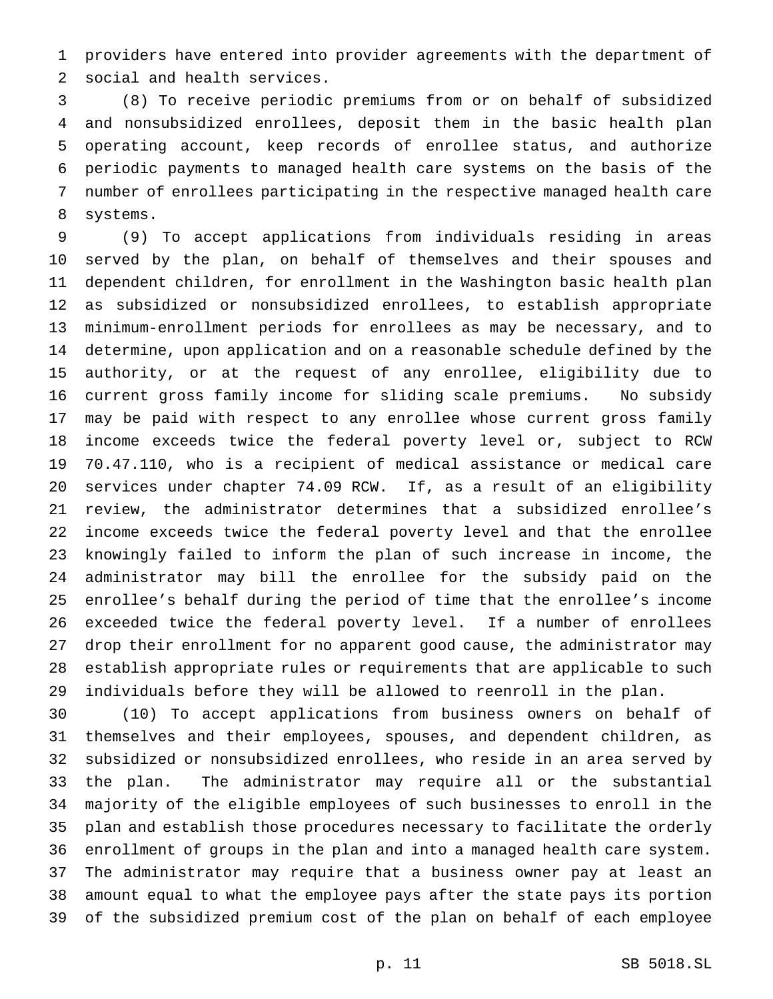providers have entered into provider agreements with the department of social and health services.

 (8) To receive periodic premiums from or on behalf of subsidized and nonsubsidized enrollees, deposit them in the basic health plan operating account, keep records of enrollee status, and authorize periodic payments to managed health care systems on the basis of the number of enrollees participating in the respective managed health care systems.

 (9) To accept applications from individuals residing in areas served by the plan, on behalf of themselves and their spouses and dependent children, for enrollment in the Washington basic health plan as subsidized or nonsubsidized enrollees, to establish appropriate minimum-enrollment periods for enrollees as may be necessary, and to determine, upon application and on a reasonable schedule defined by the authority, or at the request of any enrollee, eligibility due to current gross family income for sliding scale premiums. No subsidy may be paid with respect to any enrollee whose current gross family income exceeds twice the federal poverty level or, subject to RCW 70.47.110, who is a recipient of medical assistance or medical care services under chapter 74.09 RCW. If, as a result of an eligibility review, the administrator determines that a subsidized enrollee's income exceeds twice the federal poverty level and that the enrollee knowingly failed to inform the plan of such increase in income, the administrator may bill the enrollee for the subsidy paid on the enrollee's behalf during the period of time that the enrollee's income exceeded twice the federal poverty level. If a number of enrollees drop their enrollment for no apparent good cause, the administrator may establish appropriate rules or requirements that are applicable to such individuals before they will be allowed to reenroll in the plan.

 (10) To accept applications from business owners on behalf of themselves and their employees, spouses, and dependent children, as subsidized or nonsubsidized enrollees, who reside in an area served by the plan. The administrator may require all or the substantial majority of the eligible employees of such businesses to enroll in the plan and establish those procedures necessary to facilitate the orderly enrollment of groups in the plan and into a managed health care system. The administrator may require that a business owner pay at least an amount equal to what the employee pays after the state pays its portion of the subsidized premium cost of the plan on behalf of each employee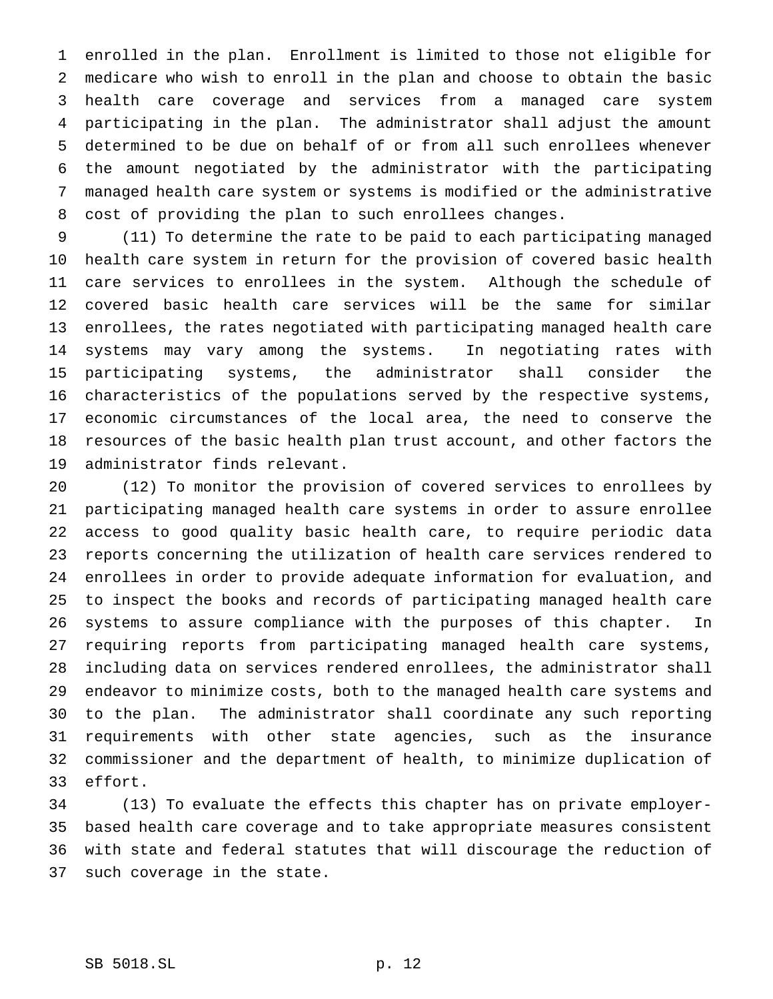enrolled in the plan. Enrollment is limited to those not eligible for medicare who wish to enroll in the plan and choose to obtain the basic health care coverage and services from a managed care system participating in the plan. The administrator shall adjust the amount determined to be due on behalf of or from all such enrollees whenever the amount negotiated by the administrator with the participating managed health care system or systems is modified or the administrative cost of providing the plan to such enrollees changes.

 (11) To determine the rate to be paid to each participating managed health care system in return for the provision of covered basic health care services to enrollees in the system. Although the schedule of covered basic health care services will be the same for similar enrollees, the rates negotiated with participating managed health care systems may vary among the systems. In negotiating rates with participating systems, the administrator shall consider the characteristics of the populations served by the respective systems, economic circumstances of the local area, the need to conserve the resources of the basic health plan trust account, and other factors the administrator finds relevant.

 (12) To monitor the provision of covered services to enrollees by participating managed health care systems in order to assure enrollee access to good quality basic health care, to require periodic data reports concerning the utilization of health care services rendered to enrollees in order to provide adequate information for evaluation, and to inspect the books and records of participating managed health care systems to assure compliance with the purposes of this chapter. In requiring reports from participating managed health care systems, including data on services rendered enrollees, the administrator shall endeavor to minimize costs, both to the managed health care systems and to the plan. The administrator shall coordinate any such reporting requirements with other state agencies, such as the insurance commissioner and the department of health, to minimize duplication of effort.

 (13) To evaluate the effects this chapter has on private employer- based health care coverage and to take appropriate measures consistent with state and federal statutes that will discourage the reduction of such coverage in the state.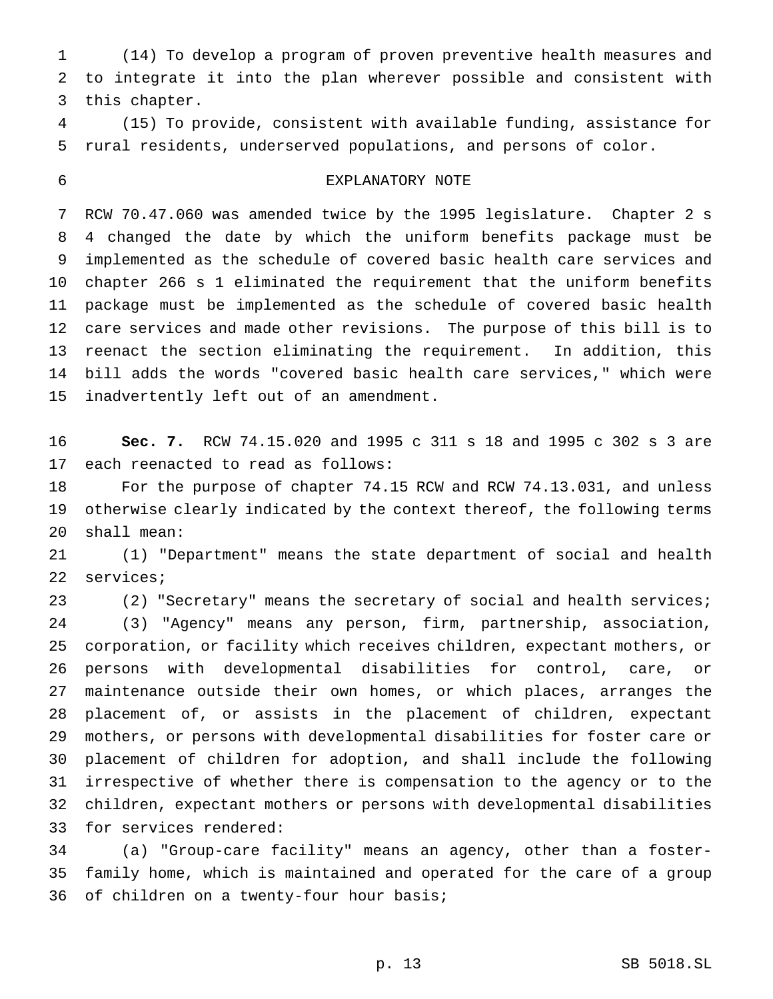(14) To develop a program of proven preventive health measures and to integrate it into the plan wherever possible and consistent with this chapter.

 (15) To provide, consistent with available funding, assistance for rural residents, underserved populations, and persons of color.

## EXPLANATORY NOTE

 RCW 70.47.060 was amended twice by the 1995 legislature. Chapter 2 s 4 changed the date by which the uniform benefits package must be implemented as the schedule of covered basic health care services and chapter 266 s 1 eliminated the requirement that the uniform benefits package must be implemented as the schedule of covered basic health care services and made other revisions. The purpose of this bill is to reenact the section eliminating the requirement. In addition, this bill adds the words "covered basic health care services," which were inadvertently left out of an amendment.

 **Sec. 7.** RCW 74.15.020 and 1995 c 311 s 18 and 1995 c 302 s 3 are each reenacted to read as follows:

 For the purpose of chapter 74.15 RCW and RCW 74.13.031, and unless otherwise clearly indicated by the context thereof, the following terms shall mean:

 (1) "Department" means the state department of social and health services;

(2) "Secretary" means the secretary of social and health services;

 (3) "Agency" means any person, firm, partnership, association, corporation, or facility which receives children, expectant mothers, or persons with developmental disabilities for control, care, or maintenance outside their own homes, or which places, arranges the placement of, or assists in the placement of children, expectant mothers, or persons with developmental disabilities for foster care or placement of children for adoption, and shall include the following irrespective of whether there is compensation to the agency or to the children, expectant mothers or persons with developmental disabilities for services rendered:

 (a) "Group-care facility" means an agency, other than a foster- family home, which is maintained and operated for the care of a group of children on a twenty-four hour basis;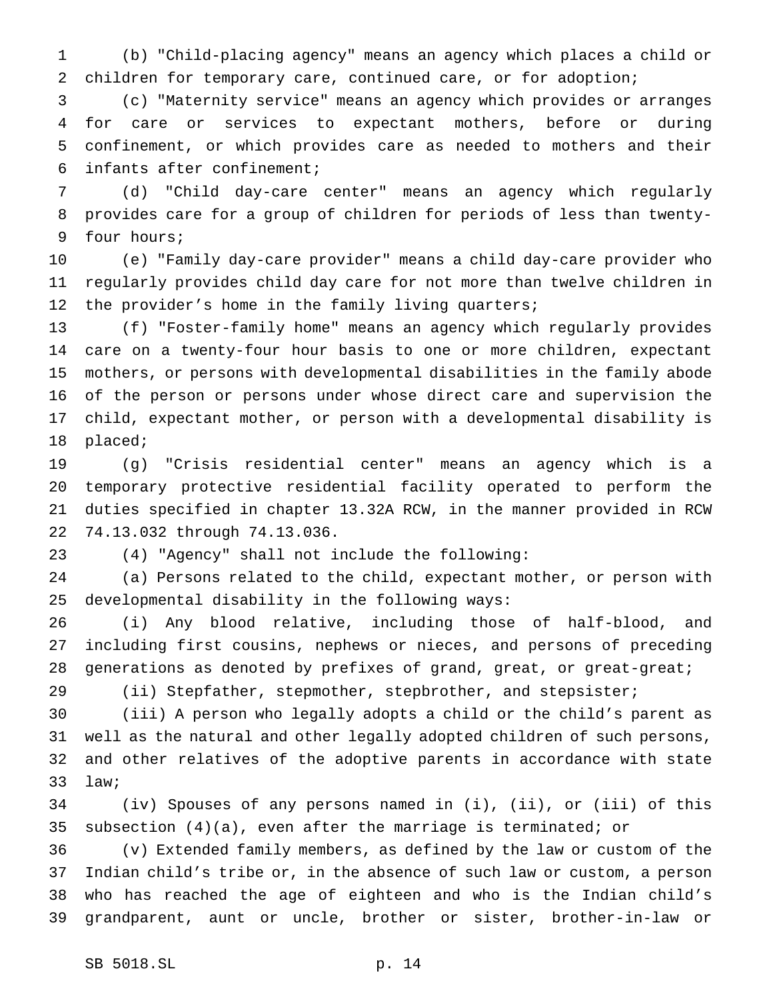(b) "Child-placing agency" means an agency which places a child or children for temporary care, continued care, or for adoption;

 (c) "Maternity service" means an agency which provides or arranges for care or services to expectant mothers, before or during confinement, or which provides care as needed to mothers and their infants after confinement;

 (d) "Child day-care center" means an agency which regularly provides care for a group of children for periods of less than twenty-four hours;

 (e) "Family day-care provider" means a child day-care provider who regularly provides child day care for not more than twelve children in the provider's home in the family living quarters;

 (f) "Foster-family home" means an agency which regularly provides care on a twenty-four hour basis to one or more children, expectant mothers, or persons with developmental disabilities in the family abode of the person or persons under whose direct care and supervision the child, expectant mother, or person with a developmental disability is placed;

 (g) "Crisis residential center" means an agency which is a temporary protective residential facility operated to perform the duties specified in chapter 13.32A RCW, in the manner provided in RCW 74.13.032 through 74.13.036.

(4) "Agency" shall not include the following:

 (a) Persons related to the child, expectant mother, or person with developmental disability in the following ways:

 (i) Any blood relative, including those of half-blood, and including first cousins, nephews or nieces, and persons of preceding generations as denoted by prefixes of grand, great, or great-great;

(ii) Stepfather, stepmother, stepbrother, and stepsister;

 (iii) A person who legally adopts a child or the child's parent as well as the natural and other legally adopted children of such persons, and other relatives of the adoptive parents in accordance with state law;

 (iv) Spouses of any persons named in (i), (ii), or (iii) of this subsection (4)(a), even after the marriage is terminated; or

 (v) Extended family members, as defined by the law or custom of the Indian child's tribe or, in the absence of such law or custom, a person who has reached the age of eighteen and who is the Indian child's grandparent, aunt or uncle, brother or sister, brother-in-law or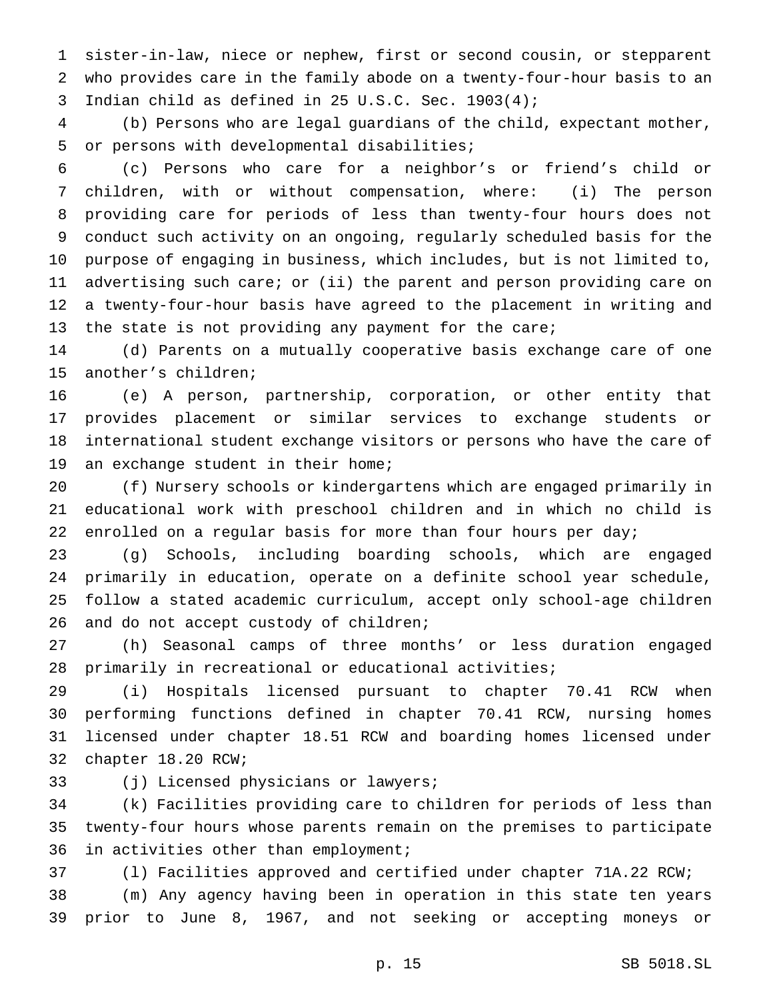sister-in-law, niece or nephew, first or second cousin, or stepparent who provides care in the family abode on a twenty-four-hour basis to an Indian child as defined in 25 U.S.C. Sec. 1903(4);

 (b) Persons who are legal guardians of the child, expectant mother, or persons with developmental disabilities;

 (c) Persons who care for a neighbor's or friend's child or children, with or without compensation, where: (i) The person providing care for periods of less than twenty-four hours does not conduct such activity on an ongoing, regularly scheduled basis for the purpose of engaging in business, which includes, but is not limited to, advertising such care; or (ii) the parent and person providing care on a twenty-four-hour basis have agreed to the placement in writing and 13 the state is not providing any payment for the care;

 (d) Parents on a mutually cooperative basis exchange care of one another's children;

 (e) A person, partnership, corporation, or other entity that provides placement or similar services to exchange students or international student exchange visitors or persons who have the care of an exchange student in their home;

 (f) Nursery schools or kindergartens which are engaged primarily in educational work with preschool children and in which no child is enrolled on a regular basis for more than four hours per day;

 (g) Schools, including boarding schools, which are engaged primarily in education, operate on a definite school year schedule, follow a stated academic curriculum, accept only school-age children 26 and do not accept custody of children;

 (h) Seasonal camps of three months' or less duration engaged primarily in recreational or educational activities;

 (i) Hospitals licensed pursuant to chapter 70.41 RCW when performing functions defined in chapter 70.41 RCW, nursing homes licensed under chapter 18.51 RCW and boarding homes licensed under chapter 18.20 RCW;

(j) Licensed physicians or lawyers;

 (k) Facilities providing care to children for periods of less than twenty-four hours whose parents remain on the premises to participate in activities other than employment;

(l) Facilities approved and certified under chapter 71A.22 RCW;

 (m) Any agency having been in operation in this state ten years prior to June 8, 1967, and not seeking or accepting moneys or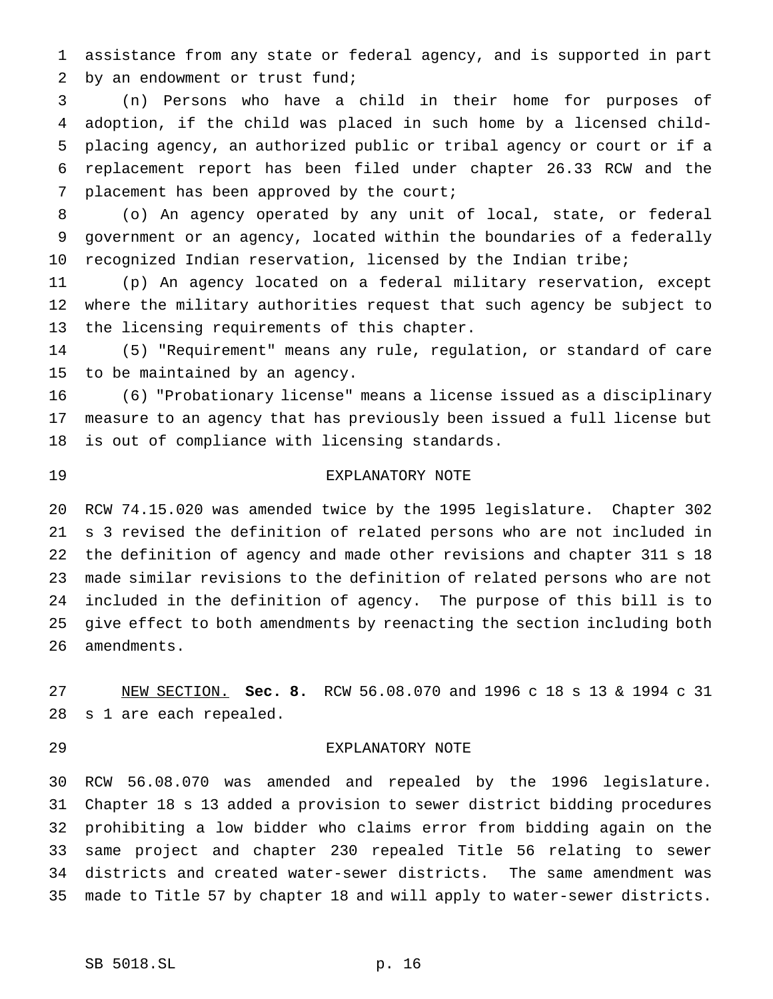assistance from any state or federal agency, and is supported in part by an endowment or trust fund;

 (n) Persons who have a child in their home for purposes of adoption, if the child was placed in such home by a licensed child- placing agency, an authorized public or tribal agency or court or if a replacement report has been filed under chapter 26.33 RCW and the placement has been approved by the court;

 (o) An agency operated by any unit of local, state, or federal government or an agency, located within the boundaries of a federally 10 recognized Indian reservation, licensed by the Indian tribe;

 (p) An agency located on a federal military reservation, except where the military authorities request that such agency be subject to the licensing requirements of this chapter.

 (5) "Requirement" means any rule, regulation, or standard of care to be maintained by an agency.

 (6) "Probationary license" means a license issued as a disciplinary measure to an agency that has previously been issued a full license but is out of compliance with licensing standards.

## EXPLANATORY NOTE

 RCW 74.15.020 was amended twice by the 1995 legislature. Chapter 302 s 3 revised the definition of related persons who are not included in the definition of agency and made other revisions and chapter 311 s 18 made similar revisions to the definition of related persons who are not included in the definition of agency. The purpose of this bill is to give effect to both amendments by reenacting the section including both amendments.

 NEW SECTION. **Sec. 8.** RCW 56.08.070 and 1996 c 18 s 13 & 1994 c 31 s 1 are each repealed.

#### EXPLANATORY NOTE

 RCW 56.08.070 was amended and repealed by the 1996 legislature. Chapter 18 s 13 added a provision to sewer district bidding procedures prohibiting a low bidder who claims error from bidding again on the same project and chapter 230 repealed Title 56 relating to sewer districts and created water-sewer districts. The same amendment was made to Title 57 by chapter 18 and will apply to water-sewer districts.